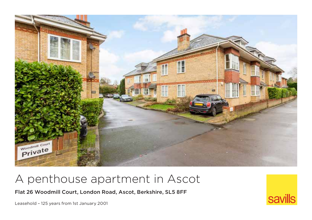

## A penthouse apartment in Ascot

Flat 26 Woodmill Court, London Road, Ascot, Berkshire, SL5 8FF

Leasehold – 125 years from 1st January 2001

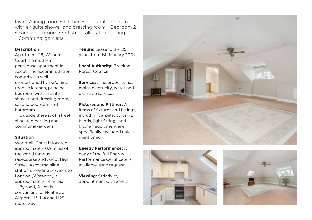Living/dining room • Kitchen • Principal bedroom with en suite shower and dressing room • Bedroom 2

• Family bathroom • Off street allocated parking

• Communal gardens

## **Description**

Apartment 26, Woodmill Court is a modern penthouse apartment in Ascot. The accommodation comprises a well proportioned living/dining room, a kitchen, principal bedroom with en suite shower and dressing room, a second bedroom and bathroom.

Outside there is off street allocated parking and communal gardens.

## **Situation**

Woodmill Court is located approximately 0.9 miles of the world famous racecourse and Ascot High Street. Ascot mainline station providing services to London (Waterloo) is approximately 1.4 miles. By road, Ascot is convenient for Heathrow Airport, M3, M4 and M25 motorways.

**Tenure:** Leasehold - 125 years from 1st January 2001

**Local Authority:** Bracknell Forest Council

**Services:** The property has mains electricity, water and drainage services.

**Fixtures and Fittings:** All

items of fixtures and fittings, including carpets, curtains/ blinds, light fittings and kitchen equipment are specifically excluded unless mentioned

**Energy Performance:** A copy of the full Energy Performance Certificate is available upon request.

**Viewing:** Strictly by appointment with Savills.





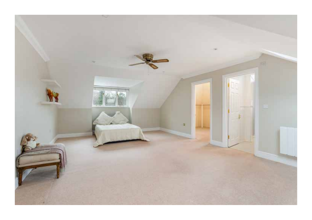